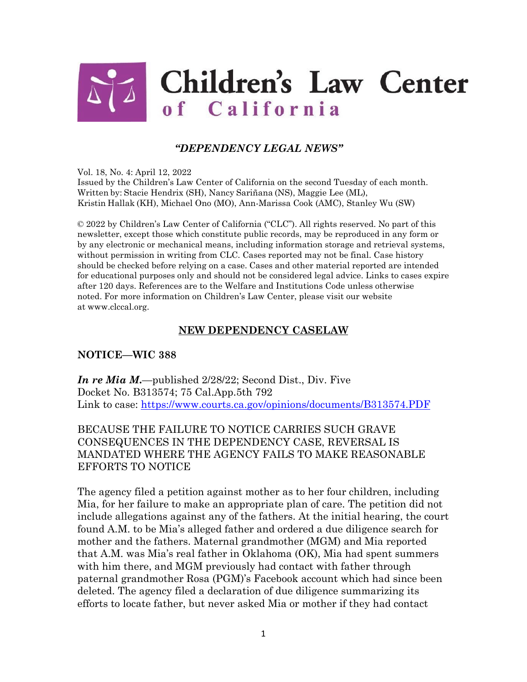

# *"DEPENDENCY LEGAL NEWS"*

Vol. 18, No. 4: April 12, 2022

Issued by the Children's Law Center of California on the second Tuesday of each month. Written by: Stacie Hendrix (SH), Nancy Sariñana (NS), Maggie Lee (ML), Kristin Hallak (KH), Michael Ono (MO), Ann-Marissa Cook (AMC), Stanley Wu (SW)

© 2022 by Children's Law Center of California ("CLC"). All rights reserved. No part of this newsletter, except those which constitute public records, may be reproduced in any form or by any electronic or mechanical means, including information storage and retrieval systems, without permission in writing from CLC. Cases reported may not be final. Case history should be checked before relying on a case. Cases and other material reported are intended for educational purposes only and should not be considered legal advice. Links to cases expire after 120 days. References are to the Welfare and Institutions Code unless otherwise noted. For more information on Children's Law Center, please visit our website at [www.clccal.org.](http://www.clccal.org/)

### **NEW DEPENDENCY CASELAW**

#### **NOTICE—WIC 388**

*In re Mia M***.**—published 2/28/22; Second Dist., Div. Five Docket No. B313574; 75 Cal.App.5th 792 Link to case:<https://www.courts.ca.gov/opinions/documents/B313574.PDF>

## BECAUSE THE FAILURE TO NOTICE CARRIES SUCH GRAVE CONSEQUENCES IN THE DEPENDENCY CASE, REVERSAL IS MANDATED WHERE THE AGENCY FAILS TO MAKE REASONABLE EFFORTS TO NOTICE

The agency filed a petition against mother as to her four children, including Mia, for her failure to make an appropriate plan of care. The petition did not include allegations against any of the fathers. At the initial hearing, the court found A.M. to be Mia's alleged father and ordered a due diligence search for mother and the fathers. Maternal grandmother (MGM) and Mia reported that A.M. was Mia's real father in Oklahoma (OK), Mia had spent summers with him there, and MGM previously had contact with father through paternal grandmother Rosa (PGM)'s Facebook account which had since been deleted. The agency filed a declaration of due diligence summarizing its efforts to locate father, but never asked Mia or mother if they had contact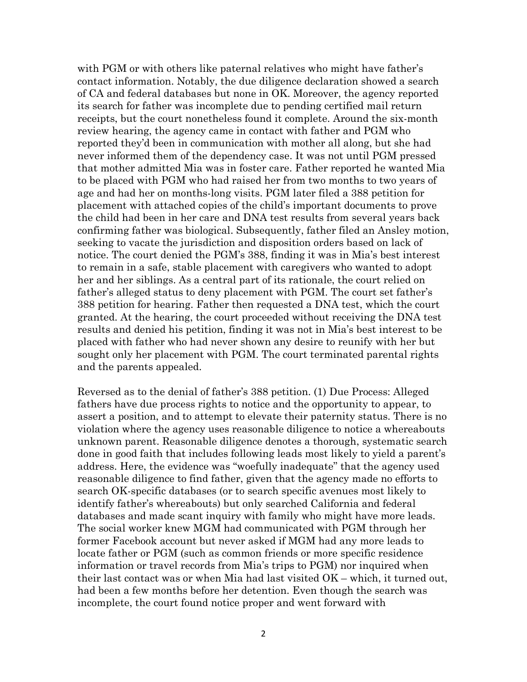with PGM or with others like paternal relatives who might have father's contact information. Notably, the due diligence declaration showed a search of CA and federal databases but none in OK. Moreover, the agency reported its search for father was incomplete due to pending certified mail return receipts, but the court nonetheless found it complete. Around the six-month review hearing, the agency came in contact with father and PGM who reported they'd been in communication with mother all along, but she had never informed them of the dependency case. It was not until PGM pressed that mother admitted Mia was in foster care. Father reported he wanted Mia to be placed with PGM who had raised her from two months to two years of age and had her on months-long visits. PGM later filed a 388 petition for placement with attached copies of the child's important documents to prove the child had been in her care and DNA test results from several years back confirming father was biological. Subsequently, father filed an Ansley motion, seeking to vacate the jurisdiction and disposition orders based on lack of notice. The court denied the PGM's 388, finding it was in Mia's best interest to remain in a safe, stable placement with caregivers who wanted to adopt her and her siblings. As a central part of its rationale, the court relied on father's alleged status to deny placement with PGM. The court set father's 388 petition for hearing. Father then requested a DNA test, which the court granted. At the hearing, the court proceeded without receiving the DNA test results and denied his petition, finding it was not in Mia's best interest to be placed with father who had never shown any desire to reunify with her but sought only her placement with PGM. The court terminated parental rights and the parents appealed.

Reversed as to the denial of father's 388 petition. (1) Due Process: Alleged fathers have due process rights to notice and the opportunity to appear, to assert a position, and to attempt to elevate their paternity status. There is no violation where the agency uses reasonable diligence to notice a whereabouts unknown parent. Reasonable diligence denotes a thorough, systematic search done in good faith that includes following leads most likely to yield a parent's address. Here, the evidence was "woefully inadequate" that the agency used reasonable diligence to find father, given that the agency made no efforts to search OK-specific databases (or to search specific avenues most likely to identify father's whereabouts) but only searched California and federal databases and made scant inquiry with family who might have more leads. The social worker knew MGM had communicated with PGM through her former Facebook account but never asked if MGM had any more leads to locate father or PGM (such as common friends or more specific residence information or travel records from Mia's trips to PGM) nor inquired when their last contact was or when Mia had last visited OK – which, it turned out, had been a few months before her detention. Even though the search was incomplete, the court found notice proper and went forward with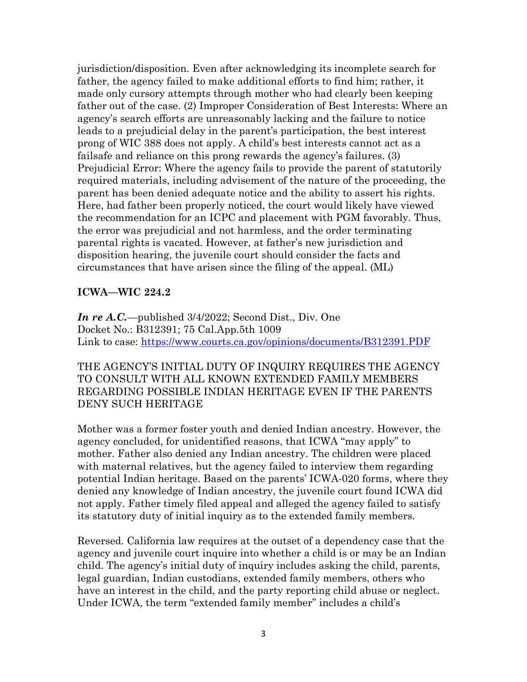jurisdiction/disposition. Even after acknowledging its incomplete search for father, the agency failed to make additional efforts to find him; rather, it made only cursory attempts through mother who had clearly been keeping father out of the case. (2) Improper Consideration of Best Interests: Where an agency's search efforts are unreasonably lacking and the failure to notice leads to a prejudicial delay in the parent's participation, the best interest prong of WIC 388 does not apply. A child's best interests cannot act as a failsafe and reliance on this prong rewards the agency's failures. (3) Prejudicial Error: Where the agency fails to provide the parent of statutorily required materials, including advisement of the nature of the proceeding, the parent has been denied adequate notice and the ability to assert his rights. Here, had father been properly noticed, the court would likely have viewed the recommendation for an ICPC and placement with PGM favorably. Thus, the error was prejudicial and not harmless, and the order terminating parental rights is vacated. However, at father's new jurisdiction and disposition hearing, the juvenile court should consider the facts and circumstances that have arisen since the filing of the appeal. (ML)

### **ICWA—WIC 224.2**

*In re A.C.—*published 3/4/2022; Second Dist., Div. One Docket No.: B312391; 75 Cal.App.5th 1009 Link to case:<https://www.courts.ca.gov/opinions/documents/B312391.PDF>

THE AGENCY'S INITIAL DUTY OF INQUIRY REQUIRES THE AGENCY TO CONSULT WITH ALL KNOWN EXTENDED FAMILY MEMBERS REGARDING POSSIBLE INDIAN HERITAGE EVEN IF THE PARENTS DENY SUCH HERITAGE

Mother was a former foster youth and denied Indian ancestry. However, the agency concluded, for unidentified reasons, that ICWA "may apply" to mother. Father also denied any Indian ancestry. The children were placed with maternal relatives, but the agency failed to interview them regarding potential Indian heritage. Based on the parents' ICWA-020 forms, where they denied any knowledge of Indian ancestry, the juvenile court found ICWA did not apply. Father timely filed appeal and alleged the agency failed to satisfy its statutory duty of initial inquiry as to the extended family members.

Reversed. California law requires at the outset of a dependency case that the agency and juvenile court inquire into whether a child is or may be an Indian child. The agency's initial duty of inquiry includes asking the child, parents, legal guardian, Indian custodians, extended family members, others who have an interest in the child, and the party reporting child abuse or neglect. Under ICWA, the term "extended family member" includes a child's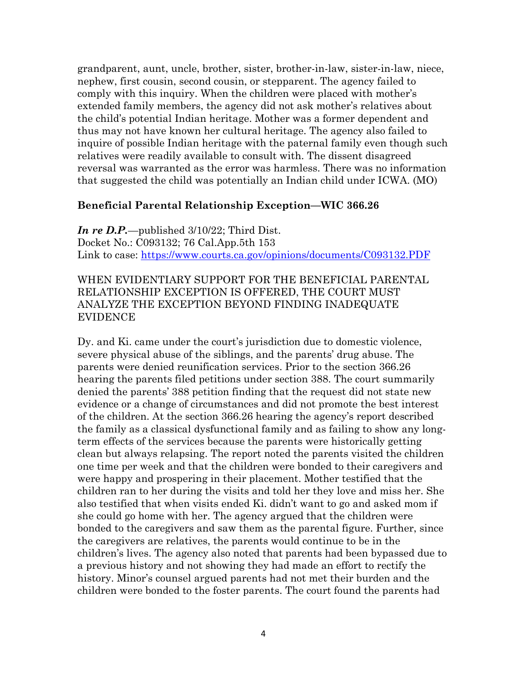grandparent, aunt, uncle, brother, sister, brother-in-law, sister-in-law, niece, nephew, first cousin, second cousin, or stepparent. The agency failed to comply with this inquiry. When the children were placed with mother's extended family members, the agency did not ask mother's relatives about the child's potential Indian heritage. Mother was a former dependent and thus may not have known her cultural heritage. The agency also failed to inquire of possible Indian heritage with the paternal family even though such relatives were readily available to consult with. The dissent disagreed reversal was warranted as the error was harmless. There was no information that suggested the child was potentially an Indian child under ICWA. (MO)

#### **Beneficial Parental Relationship Exception—WIC 366.26**

*In re D.P.—*published 3/10/22; Third Dist. Docket No.: C093132; 76 Cal.App.5th 153 Link to case:<https://www.courts.ca.gov/opinions/documents/C093132.PDF>

### WHEN EVIDENTIARY SUPPORT FOR THE BENEFICIAL PARENTAL RELATIONSHIP EXCEPTION IS OFFERED, THE COURT MUST ANALYZE THE EXCEPTION BEYOND FINDING INADEQUATE EVIDENCE

Dy. and Ki. came under the court's jurisdiction due to domestic violence, severe physical abuse of the siblings, and the parents' drug abuse. The parents were denied reunification services. Prior to the section 366.26 hearing the parents filed petitions under section 388. The court summarily denied the parents' 388 petition finding that the request did not state new evidence or a change of circumstances and did not promote the best interest of the children. At the section 366.26 hearing the agency's report described the family as a classical dysfunctional family and as failing to show any longterm effects of the services because the parents were historically getting clean but always relapsing. The report noted the parents visited the children one time per week and that the children were bonded to their caregivers and were happy and prospering in their placement. Mother testified that the children ran to her during the visits and told her they love and miss her. She also testified that when visits ended Ki. didn't want to go and asked mom if she could go home with her. The agency argued that the children were bonded to the caregivers and saw them as the parental figure. Further, since the caregivers are relatives, the parents would continue to be in the children's lives. The agency also noted that parents had been bypassed due to a previous history and not showing they had made an effort to rectify the history. Minor's counsel argued parents had not met their burden and the children were bonded to the foster parents. The court found the parents had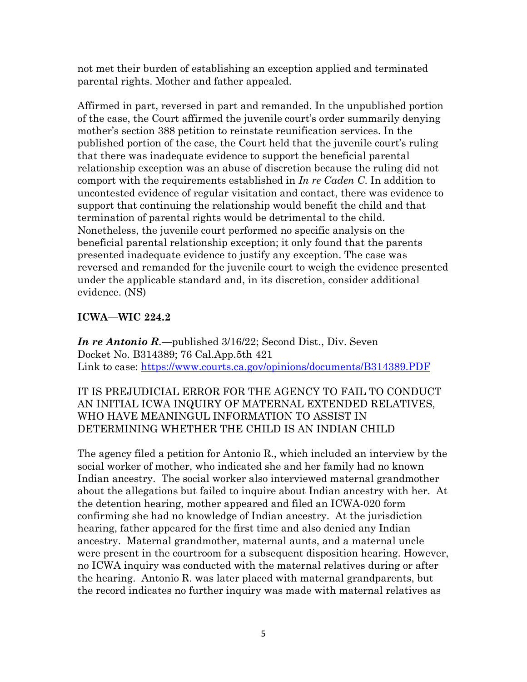not met their burden of establishing an exception applied and terminated parental rights. Mother and father appealed.

Affirmed in part, reversed in part and remanded. In the unpublished portion of the case, the Court affirmed the juvenile court's order summarily denying mother's section 388 petition to reinstate reunification services. In the published portion of the case, the Court held that the juvenile court's ruling that there was inadequate evidence to support the beneficial parental relationship exception was an abuse of discretion because the ruling did not comport with the requirements established in *In re Caden C*. In addition to uncontested evidence of regular visitation and contact, there was evidence to support that continuing the relationship would benefit the child and that termination of parental rights would be detrimental to the child. Nonetheless, the juvenile court performed no specific analysis on the beneficial parental relationship exception; it only found that the parents presented inadequate evidence to justify any exception. The case was reversed and remanded for the juvenile court to weigh the evidence presented under the applicable standard and, in its discretion, consider additional evidence. (NS)

# **ICWA—WIC 224.2**

*In re Antonio R.*—published 3/16/22; Second Dist., Div. Seven Docket No. B314389; 76 Cal.App.5th 421 Link to case:<https://www.courts.ca.gov/opinions/documents/B314389.PDF>

# IT IS PREJUDICIAL ERROR FOR THE AGENCY TO FAIL TO CONDUCT AN INITIAL ICWA INQUIRY OF MATERNAL EXTENDED RELATIVES, WHO HAVE MEANINGUL INFORMATION TO ASSIST IN DETERMINING WHETHER THE CHILD IS AN INDIAN CHILD

The agency filed a petition for Antonio R., which included an interview by the social worker of mother, who indicated she and her family had no known Indian ancestry. The social worker also interviewed maternal grandmother about the allegations but failed to inquire about Indian ancestry with her. At the detention hearing, mother appeared and filed an ICWA-020 form confirming she had no knowledge of Indian ancestry. At the jurisdiction hearing, father appeared for the first time and also denied any Indian ancestry. Maternal grandmother, maternal aunts, and a maternal uncle were present in the courtroom for a subsequent disposition hearing. However, no ICWA inquiry was conducted with the maternal relatives during or after the hearing. Antonio R. was later placed with maternal grandparents, but the record indicates no further inquiry was made with maternal relatives as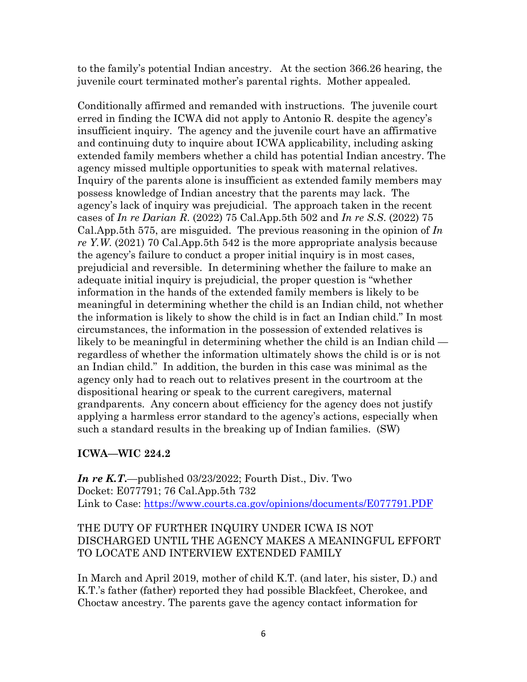to the family's potential Indian ancestry. At the section 366.26 hearing, the juvenile court terminated mother's parental rights. Mother appealed.

Conditionally affirmed and remanded with instructions. The juvenile court erred in finding the ICWA did not apply to Antonio R. despite the agency's insufficient inquiry. The agency and the juvenile court have an affirmative and continuing duty to inquire about ICWA applicability, including asking extended family members whether a child has potential Indian ancestry. The agency missed multiple opportunities to speak with maternal relatives. Inquiry of the parents alone is insufficient as extended family members may possess knowledge of Indian ancestry that the parents may lack. The agency's lack of inquiry was prejudicial. The approach taken in the recent cases of *In re Darian R*. (2022) 75 Cal.App.5th 502 and *In re S.S*. (2022) 75 Cal.App.5th 575, are misguided. The previous reasoning in the opinion of *In re Y.W*. (2021) 70 Cal.App.5th 542 is the more appropriate analysis because the agency's failure to conduct a proper initial inquiry is in most cases, prejudicial and reversible. In determining whether the failure to make an adequate initial inquiry is prejudicial, the proper question is "whether information in the hands of the extended family members is likely to be meaningful in determining whether the child is an Indian child, not whether the information is likely to show the child is in fact an Indian child." In most circumstances, the information in the possession of extended relatives is likely to be meaningful in determining whether the child is an Indian child regardless of whether the information ultimately shows the child is or is not an Indian child." In addition, the burden in this case was minimal as the agency only had to reach out to relatives present in the courtroom at the dispositional hearing or speak to the current caregivers, maternal grandparents. Any concern about efficiency for the agency does not justify applying a harmless error standard to the agency's actions, especially when such a standard results in the breaking up of Indian families. (SW)

### **ICWA—WIC 224.2**

*In re K.T***.**—published 03/23/2022; Fourth Dist., Div. Two Docket: E077791; 76 Cal.App.5th 732 Link to Case:<https://www.courts.ca.gov/opinions/documents/E077791.PDF>

### THE DUTY OF FURTHER INQUIRY UNDER ICWA IS NOT DISCHARGED UNTIL THE AGENCY MAKES A MEANINGFUL EFFORT TO LOCATE AND INTERVIEW EXTENDED FAMILY

In March and April 2019, mother of child K.T. (and later, his sister, D.) and K.T.'s father (father) reported they had possible Blackfeet, Cherokee, and Choctaw ancestry. The parents gave the agency contact information for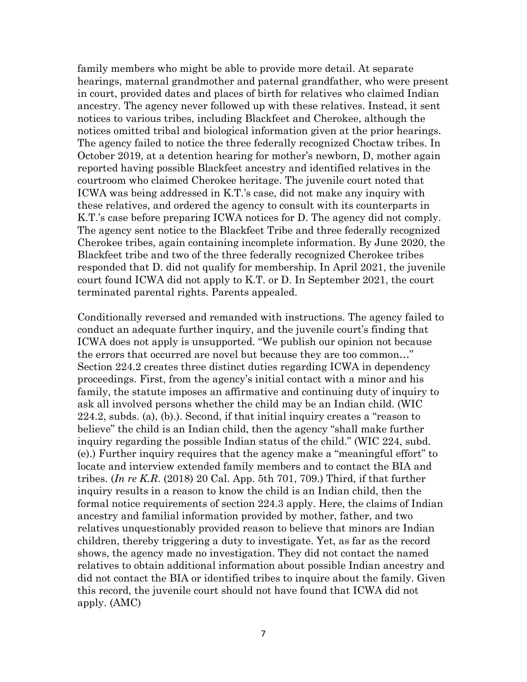family members who might be able to provide more detail. At separate hearings, maternal grandmother and paternal grandfather, who were present in court, provided dates and places of birth for relatives who claimed Indian ancestry. The agency never followed up with these relatives. Instead, it sent notices to various tribes, including Blackfeet and Cherokee, although the notices omitted tribal and biological information given at the prior hearings. The agency failed to notice the three federally recognized Choctaw tribes. In October 2019, at a detention hearing for mother's newborn, D, mother again reported having possible Blackfeet ancestry and identified relatives in the courtroom who claimed Cherokee heritage. The juvenile court noted that ICWA was being addressed in K.T.'s case, did not make any inquiry with these relatives, and ordered the agency to consult with its counterparts in K.T.'s case before preparing ICWA notices for D. The agency did not comply. The agency sent notice to the Blackfeet Tribe and three federally recognized Cherokee tribes, again containing incomplete information. By June 2020, the Blackfeet tribe and two of the three federally recognized Cherokee tribes responded that D. did not qualify for membership. In April 2021, the juvenile court found ICWA did not apply to K.T. or D. In September 2021, the court terminated parental rights. Parents appealed.

Conditionally reversed and remanded with instructions. The agency failed to conduct an adequate further inquiry, and the juvenile court's finding that ICWA does not apply is unsupported. "We publish our opinion not because the errors that occurred are novel but because they are too common…" Section 224.2 creates three distinct duties regarding ICWA in dependency proceedings. First, from the agency's initial contact with a minor and his family, the statute imposes an affirmative and continuing duty of inquiry to ask all involved persons whether the child may be an Indian child. (WIC 224.2, subds. (a), (b).). Second, if that initial inquiry creates a "reason to believe" the child is an Indian child, then the agency "shall make further inquiry regarding the possible Indian status of the child." (WIC 224, subd. (e).) Further inquiry requires that the agency make a "meaningful effort" to locate and interview extended family members and to contact the BIA and tribes. (*In re K.R*. (2018) 20 Cal. App. 5th 701, 709.) Third, if that further inquiry results in a reason to know the child is an Indian child, then the formal notice requirements of section 224.3 apply. Here, the claims of Indian ancestry and familial information provided by mother, father, and two relatives unquestionably provided reason to believe that minors are Indian children, thereby triggering a duty to investigate. Yet, as far as the record shows, the agency made no investigation. They did not contact the named relatives to obtain additional information about possible Indian ancestry and did not contact the BIA or identified tribes to inquire about the family. Given this record, the juvenile court should not have found that ICWA did not apply. (AMC)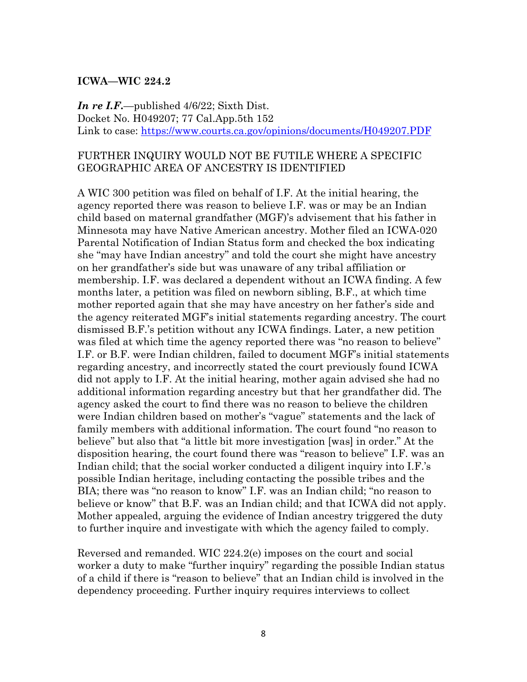#### **ICWA—WIC 224.2**

*In re I.F***.**—published 4/6/22; Sixth Dist. Docket No. H049207; 77 Cal.App.5th 152 Link to case:<https://www.courts.ca.gov/opinions/documents/H049207.PDF>

### FURTHER INQUIRY WOULD NOT BE FUTILE WHERE A SPECIFIC GEOGRAPHIC AREA OF ANCESTRY IS IDENTIFIED

A WIC 300 petition was filed on behalf of I.F. At the initial hearing, the agency reported there was reason to believe I.F. was or may be an Indian child based on maternal grandfather (MGF)'s advisement that his father in Minnesota may have Native American ancestry. Mother filed an ICWA-020 Parental Notification of Indian Status form and checked the box indicating she "may have Indian ancestry" and told the court she might have ancestry on her grandfather's side but was unaware of any tribal affiliation or membership. I.F. was declared a dependent without an ICWA finding. A few months later, a petition was filed on newborn sibling, B.F., at which time mother reported again that she may have ancestry on her father's side and the agency reiterated MGF's initial statements regarding ancestry. The court dismissed B.F.'s petition without any ICWA findings. Later, a new petition was filed at which time the agency reported there was "no reason to believe" I.F. or B.F. were Indian children, failed to document MGF's initial statements regarding ancestry, and incorrectly stated the court previously found ICWA did not apply to I.F. At the initial hearing, mother again advised she had no additional information regarding ancestry but that her grandfather did. The agency asked the court to find there was no reason to believe the children were Indian children based on mother's "vague" statements and the lack of family members with additional information. The court found "no reason to believe" but also that "a little bit more investigation [was] in order." At the disposition hearing, the court found there was "reason to believe" I.F. was an Indian child; that the social worker conducted a diligent inquiry into I.F.'s possible Indian heritage, including contacting the possible tribes and the BIA; there was "no reason to know" I.F. was an Indian child; "no reason to believe or know" that B.F. was an Indian child; and that ICWA did not apply. Mother appealed, arguing the evidence of Indian ancestry triggered the duty to further inquire and investigate with which the agency failed to comply.

Reversed and remanded. WIC 224.2(e) imposes on the court and social worker a duty to make "further inquiry" regarding the possible Indian status of a child if there is "reason to believe" that an Indian child is involved in the dependency proceeding. Further inquiry requires interviews to collect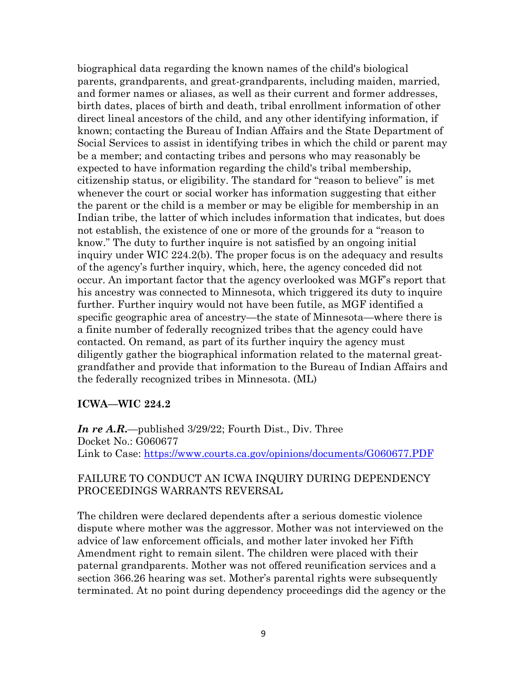biographical data regarding the known names of the child's biological parents, grandparents, and great-grandparents, including maiden, married, and former names or aliases, as well as their current and former addresses, birth dates, places of birth and death, tribal enrollment information of other direct lineal ancestors of the child, and any other identifying information, if known; contacting the Bureau of Indian Affairs and the State Department of Social Services to assist in identifying tribes in which the child or parent may be a member; and contacting tribes and persons who may reasonably be expected to have information regarding the child's tribal membership, citizenship status, or eligibility. The standard for "reason to believe" is met whenever the court or social worker has information suggesting that either the parent or the child is a member or may be eligible for membership in an Indian tribe, the latter of which includes information that indicates, but does not establish, the existence of one or more of the grounds for a "reason to know." The duty to further inquire is not satisfied by an ongoing initial inquiry under WIC 224.2(b). The proper focus is on the adequacy and results of the agency's further inquiry, which, here, the agency conceded did not occur. An important factor that the agency overlooked was MGF's report that his ancestry was connected to Minnesota, which triggered its duty to inquire further. Further inquiry would not have been futile, as MGF identified a specific geographic area of ancestry—the state of Minnesota—where there is a finite number of federally recognized tribes that the agency could have contacted. On remand, as part of its further inquiry the agency must diligently gather the biographical information related to the maternal greatgrandfather and provide that information to the Bureau of Indian Affairs and the federally recognized tribes in Minnesota. (ML)

#### **ICWA—WIC 224.2**

*In re A.R***.**—published 3/29/22; Fourth Dist., Div. Three Docket No.: G060677 Link to Case:<https://www.courts.ca.gov/opinions/documents/G060677.PDF>

### FAILURE TO CONDUCT AN ICWA INQUIRY DURING DEPENDENCY PROCEEDINGS WARRANTS REVERSAL

The children were declared dependents after a serious domestic violence dispute where mother was the aggressor. Mother was not interviewed on the advice of law enforcement officials, and mother later invoked her Fifth Amendment right to remain silent. The children were placed with their paternal grandparents. Mother was not offered reunification services and a section 366.26 hearing was set. Mother's parental rights were subsequently terminated. At no point during dependency proceedings did the agency or the